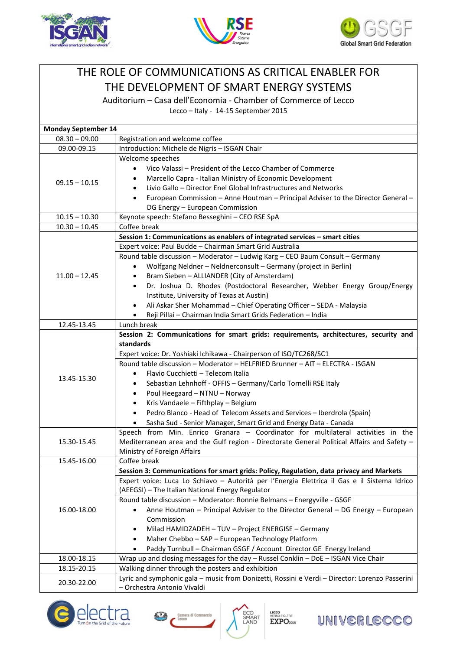





## THE ROLE OF COMMUNICATIONS AS CRITICAL ENABLER FOR THE DEVELOPMENT OF SMART ENERGY SYSTEMS

Auditorium – Casa dell'Economia - Chamber of Commerce of Lecco

Lecco – Italy - 14-15 September 2015

| <b>Monday September 14</b> |                                                                                                |
|----------------------------|------------------------------------------------------------------------------------------------|
| $08.30 - 09.00$            | Registration and welcome coffee                                                                |
| 09.00-09.15                | Introduction: Michele de Nigris - ISGAN Chair                                                  |
|                            | Welcome speeches                                                                               |
| $09.15 - 10.15$            | Vico Valassi - President of the Lecco Chamber of Commerce                                      |
|                            | Marcello Capra - Italian Ministry of Economic Development                                      |
|                            | Livio Gallo - Director Enel Global Infrastructures and Networks                                |
|                            | European Commission - Anne Houtman - Principal Adviser to the Director General -<br>$\bullet$  |
|                            | DG Energy - European Commission                                                                |
| $10.15 - 10.30$            | Keynote speech: Stefano Besseghini - CEO RSE SpA                                               |
| $10.30 - 10.45$            | Coffee break                                                                                   |
|                            | Session 1: Communications as enablers of integrated services - smart cities                    |
| $11.00 - 12.45$            | Expert voice: Paul Budde - Chairman Smart Grid Australia                                       |
|                            | Round table discussion - Moderator - Ludwig Karg - CEO Baum Consult - Germany                  |
|                            | Wolfgang Neldner - Neldnerconsult - Germany (project in Berlin)<br>$\bullet$                   |
|                            | Bram Sieben - ALLIANDER (City of Amsterdam)<br>$\bullet$                                       |
|                            | Dr. Joshua D. Rhodes (Postdoctoral Researcher, Webber Energy Group/Energy<br>$\bullet$         |
|                            | Institute, University of Texas at Austin)                                                      |
|                            | Ali Askar Sher Mohammad - Chief Operating Officer - SEDA - Malaysia                            |
|                            | Reji Pillai - Chairman India Smart Grids Federation - India                                    |
| 12.45-13.45                | Lunch break                                                                                    |
| 13.45-15.30                | Session 2: Communications for smart grids: requirements, architectures, security and           |
|                            | standards                                                                                      |
|                            | Expert voice: Dr. Yoshiaki Ichikawa - Chairperson of ISO/TC268/SC1                             |
|                            | Round table discussion - Moderator - HELFRIED Brunner - AIT - ELECTRA - ISGAN                  |
|                            | Flavio Cucchietti - Telecom Italia<br>$\bullet$                                                |
|                            | Sebastian Lehnhoff - OFFIS - Germany/Carlo Tornelli RSE Italy<br>$\bullet$                     |
|                            | Poul Heegaard - NTNU - Norway<br>$\bullet$                                                     |
|                            | Kris Vandaele - Fifthplay - Belgium<br>$\bullet$                                               |
|                            | Pedro Blanco - Head of Telecom Assets and Services - Iberdrola (Spain)<br>$\bullet$            |
|                            | Sasha Sud - Senior Manager, Smart Grid and Energy Data - Canada<br>$\bullet$                   |
|                            | Speech from Min. Enrico Granara - Coordinator for multilateral activities in the               |
| 15.30-15.45                | Mediterranean area and the Gulf region - Directorate General Political Affairs and Safety -    |
|                            | Ministry of Foreign Affairs                                                                    |
| 15.45-16.00                | Coffee break                                                                                   |
| 16.00-18.00                | Session 3: Communications for smart grids: Policy, Regulation, data privacy and Markets        |
|                            | Expert voice: Luca Lo Schiavo - Autorità per l'Energia Elettrica il Gas e il Sistema Idrico    |
|                            | (AEEGSI) - The Italian National Energy Regulator                                               |
|                            | Round table discussion - Moderator: Ronnie Belmans - Energyville - GSGF                        |
|                            | Anne Houtman - Principal Adviser to the Director General - DG Energy - European                |
|                            | Commission                                                                                     |
|                            | Milad HAMIDZADEH - TUV - Project ENERGISE - Germany                                            |
|                            | Maher Chebbo - SAP - European Technology Platform<br>$\bullet$                                 |
|                            | Paddy Turnbull - Chairman GSGF / Account Director GE Energy Ireland                            |
| 18.00-18.15                | Wrap up and closing messages for the day - Russel Conklin - DoE - ISGAN Vice Chair             |
| 18.15-20.15                | Walking dinner through the posters and exhibition                                              |
| 20.30-22.00                | Lyric and symphonic gala - music from Donizetti, Rossini e Verdi - Director: Lorenzo Passerini |
|                            | - Orchestra Antonio Vivaldi                                                                    |